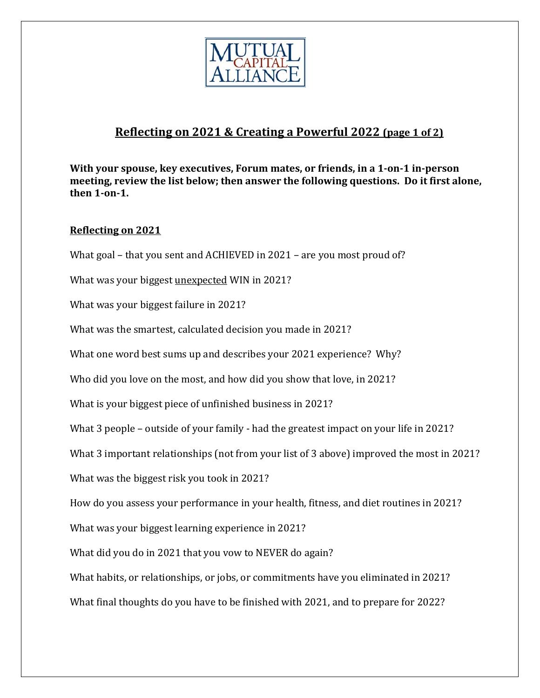

## **Reflecting on 2021 & Creating a Powerful 2022 (page 1 of 2)**

**With your spouse, key executives, Forum mates, or friends, in a 1‐on‐1 in‐person meeting, review the list below; then answer the following questions. Do it first alone, then** 1-on-1.

## **Reflecting on 2021**

What goal – that you sent and ACHIEVED in 2021 – are you most proud of?

What was your biggest unexpected WIN in 2021?

What was your biggest failure in 2021?

What was the smartest, calculated decision you made in 2021?

What one word best sums up and describes your 2021 experience? Why?

Who did you love on the most, and how did you show that love, in 2021?

What is your biggest piece of unfinished business in 2021?

What 3 people – outside of your family - had the greatest impact on your life in 2021?

What 3 important relationships (not from your list of 3 above) improved the most in 2021?

What was the biggest risk you took in 2021?

How do you assess your performance in your health, fitness, and diet routines in 2021?

What was your biggest learning experience in 2021?

What did you do in 2021 that you vow to NEVER do again?

What habits, or relationships, or jobs, or commitments have you eliminated in 2021?

What final thoughts do you have to be finished with 2021, and to prepare for 2022?